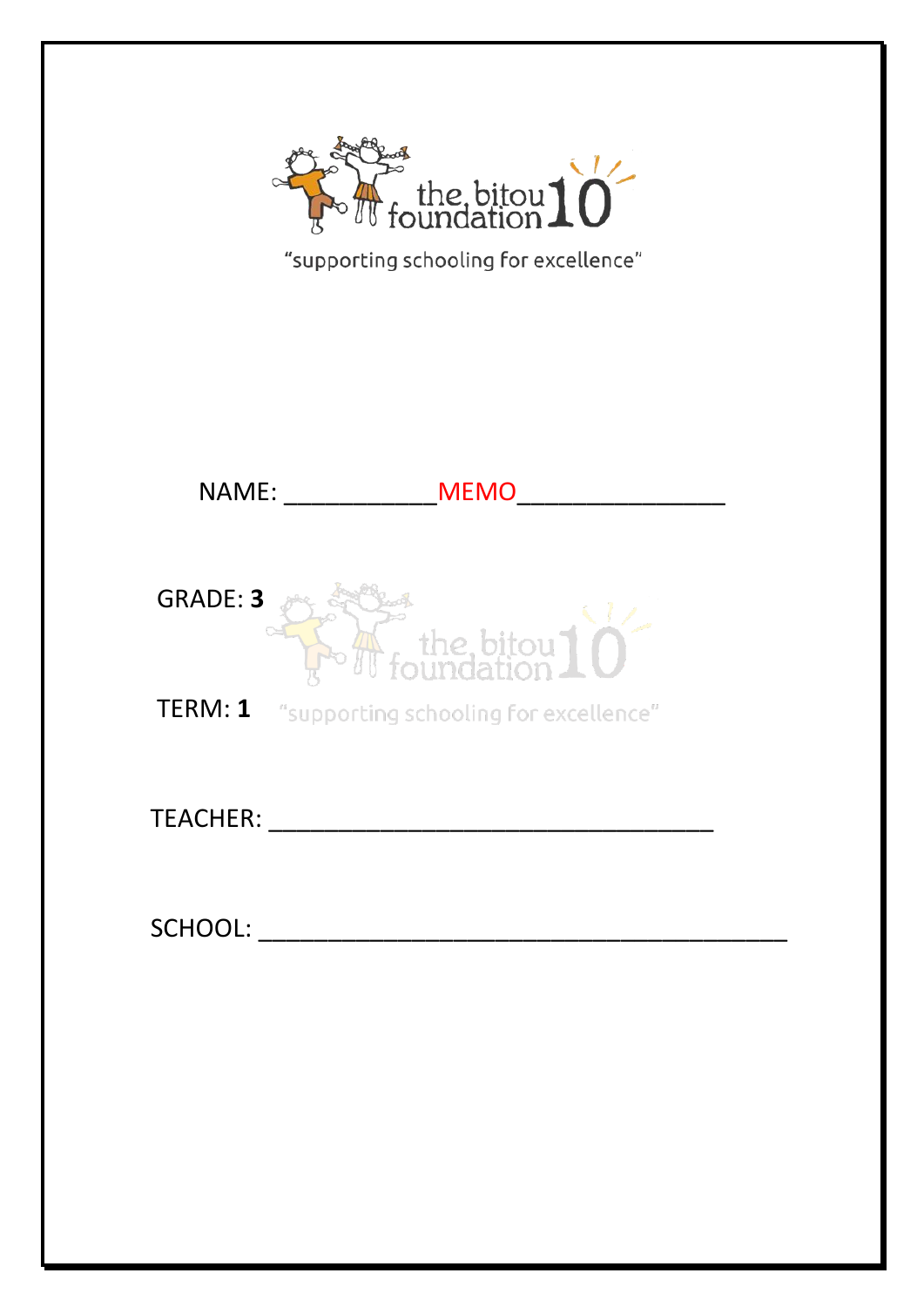

| "supporting schooling for excellence" |  |
|---------------------------------------|--|
|---------------------------------------|--|

|                 | NAME: and the state of the state of the state of the state of the state of the state of the state of the state of the state of the state of the state of the state of the state of the state of the state of the state of the<br><b>MEMO</b> |
|-----------------|----------------------------------------------------------------------------------------------------------------------------------------------------------------------------------------------------------------------------------------------|
| <b>GRADE: 3</b> | $\sum_{i=1}^{\infty}$ the bitou $\prod_{i=1}^{\infty}$                                                                                                                                                                                       |
|                 | TERM: 1 "supporting schooling for excellence"                                                                                                                                                                                                |
| <b>TEACHER:</b> |                                                                                                                                                                                                                                              |
| SCHOOL:         |                                                                                                                                                                                                                                              |
|                 |                                                                                                                                                                                                                                              |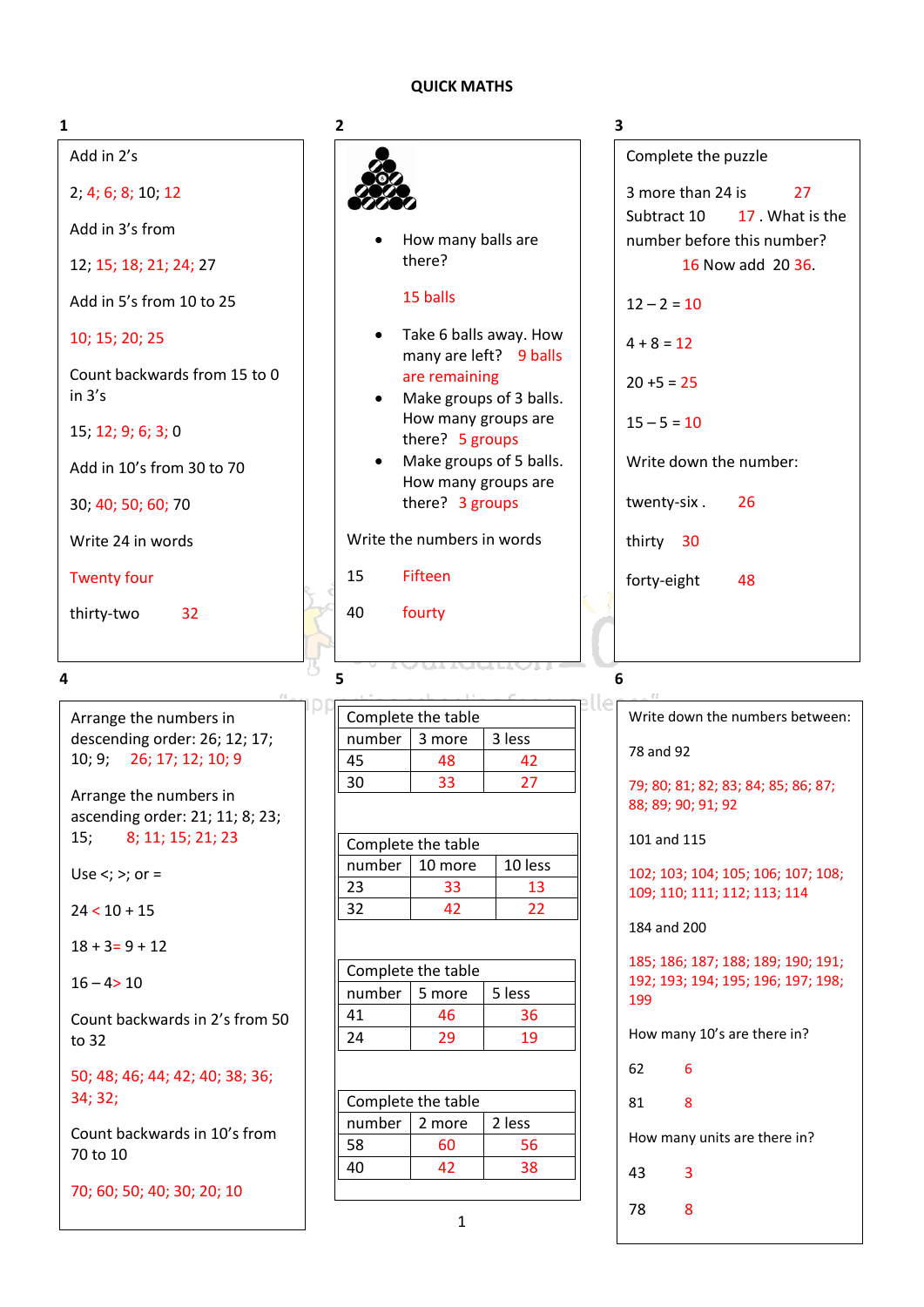# **QUICK MATHS**

| 1                                                           | 2                                                             | 3                                                                        |
|-------------------------------------------------------------|---------------------------------------------------------------|--------------------------------------------------------------------------|
| Add in 2's                                                  |                                                               | Complete the puzzle                                                      |
| 2; 4; 6; 8; 10; 12                                          |                                                               | 3 more than 24 is<br>27                                                  |
| Add in 3's from                                             |                                                               | Subtract 10<br>17. What is the                                           |
| 12; 15; 18; 21; 24; 27                                      | How many balls are<br>there?                                  | number before this number?<br>16 Now add 20 36.                          |
| Add in 5's from 10 to 25                                    | 15 balls                                                      | $12 - 2 = 10$                                                            |
| 10; 15; 20; 25                                              | Take 6 balls away. How<br>$\bullet$<br>many are left? 9 balls | $4 + 8 = 12$                                                             |
| Count backwards from 15 to 0<br>in 3's                      | are remaining<br>Make groups of 3 balls.<br>$\bullet$         | $20 + 5 = 25$                                                            |
| 15; 12; 9; 6; 3; 0                                          | How many groups are<br>there? 5 groups                        | $15 - 5 = 10$                                                            |
| Add in 10's from 30 to 70                                   | Make groups of 5 balls.<br>$\bullet$<br>How many groups are   | Write down the number:                                                   |
| 30; 40; 50; 60; 70                                          | there? 3 groups                                               | twenty-six.<br>26                                                        |
| Write 24 in words                                           | Write the numbers in words                                    | thirty 30                                                                |
| <b>Twenty four</b>                                          | 15<br>Fifteen                                                 | forty-eight<br>48                                                        |
| thirty-two<br>32                                            | 40<br>fourty                                                  |                                                                          |
|                                                             |                                                               |                                                                          |
| 4                                                           |                                                               |                                                                          |
|                                                             | 5                                                             | 6                                                                        |
| Arrange the numbers in                                      | Complete the table                                            | Write down the numbers between:                                          |
| descending order: 26; 12; 17;                               | 3 less<br>number<br>3 more                                    |                                                                          |
| 26; 17; 12; 10; 9<br>10; 9;                                 | 45<br>48<br>42                                                | 78 and 92                                                                |
| Arrange the numbers in                                      | 27<br>30<br>33                                                | 79; 80; 81; 82; 83; 84; 85; 86; 87;<br>88; 89; 90; 91; 92                |
| ascending order: 21; 11; 8; 23;<br>8; 11; 15; 21; 23<br>15; |                                                               | 101 and 115                                                              |
|                                                             | Complete the table<br>10 less<br>number<br>10 more            |                                                                          |
| Use $\lt$ ; $\gt$ ; or =                                    | 23<br>33<br>13                                                | 102; 103; 104; 105; 106; 107; 108;<br>109; 110; 111; 112; 113; 114       |
| $24 < 10 + 15$                                              | 32<br>42<br>22                                                | 184 and 200                                                              |
| $18 + 3 = 9 + 12$                                           |                                                               |                                                                          |
| $16 - 4 > 10$                                               | Complete the table                                            | 185; 186; 187; 188; 189; 190; 191;<br>192; 193; 194; 195; 196; 197; 198; |
|                                                             | number<br>5 more<br>5 less                                    | 199                                                                      |
| Count backwards in 2's from 50<br>to 32                     | 41<br>46<br>36<br>24<br>29<br>19                              | How many 10's are there in?                                              |
| 50; 48; 46; 44; 42; 40; 38; 36;                             |                                                               | 62<br>6                                                                  |
| 34; 32;                                                     | Complete the table                                            | 81<br>8                                                                  |
| Count backwards in 10's from                                | number<br>2 less<br>2 more                                    |                                                                          |
| 70 to 10                                                    | 58<br>60<br>56                                                | How many units are there in?                                             |
| 70; 60; 50; 40; 30; 20; 10                                  | 40<br>42<br>38                                                | 43<br>3                                                                  |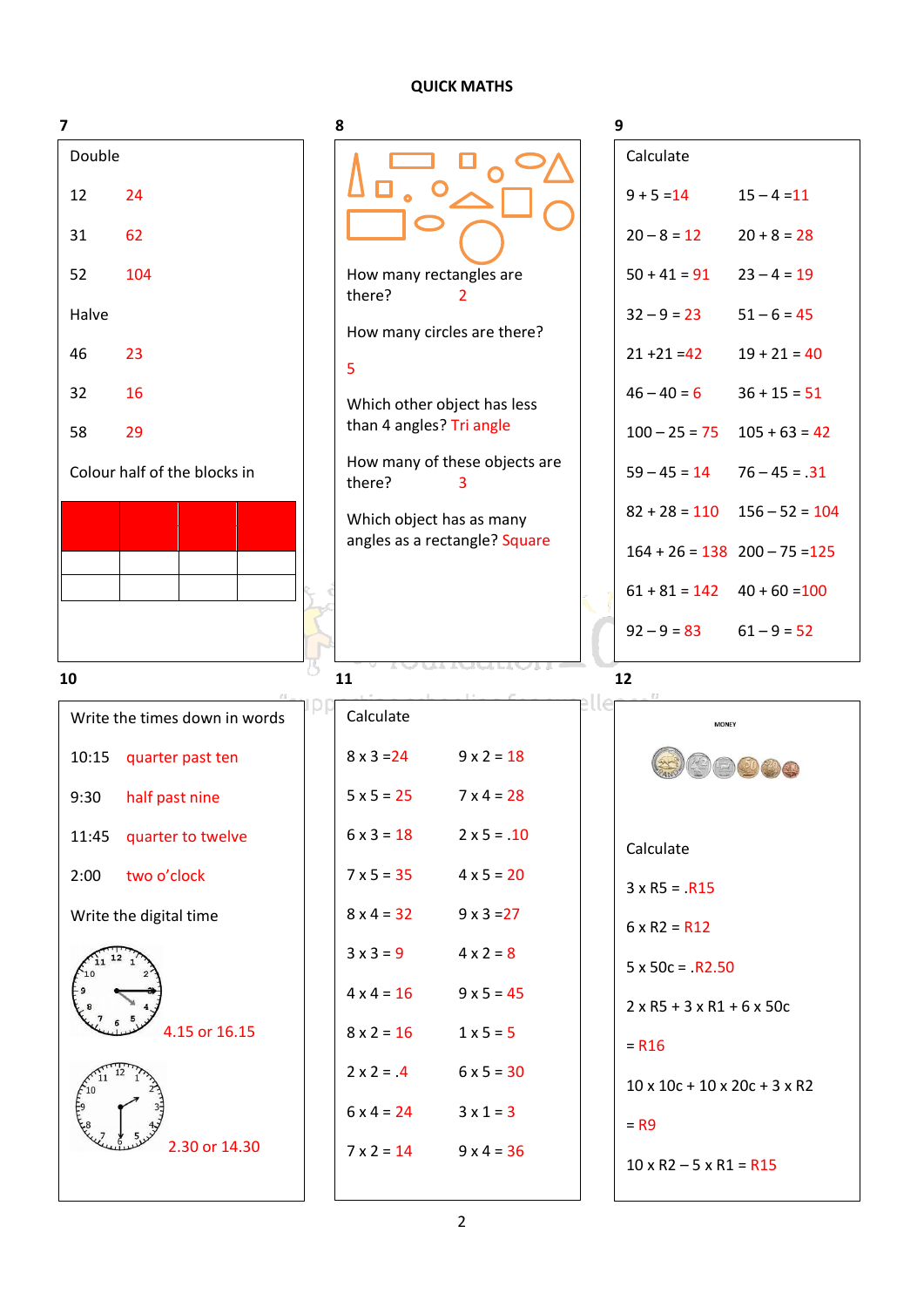## **QUICK MATHS**

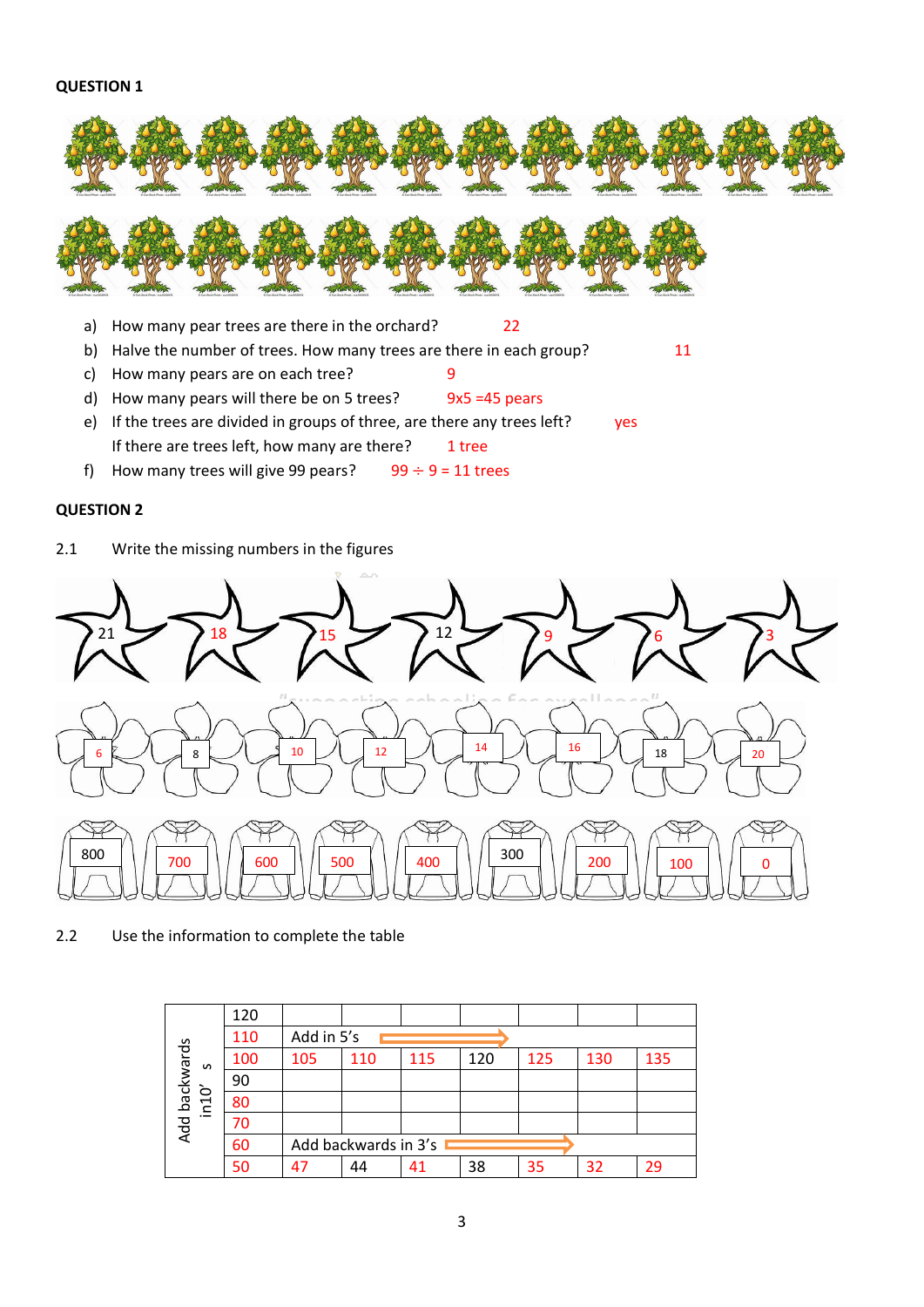## **QUESTION 1**



- a) How many pear trees are there in the orchard? 22
- b) Halve the number of trees. How many trees are there in each group? 11
- c) How many pears are on each tree? 9
- d) How many pears will there be on 5 trees? 9x5 =45 pears
- e) If the trees are divided in groups of three, are there any trees left? yes If there are trees left, how many are there? tree
- f) How many trees will give 99 pears?  $99 \div 9 = 11$  trees

## **QUESTION 2**

2.1 Write the missing numbers in the figures



2.2 Use the information to complete the table

|                                       | 120 |            |                      |     |     |     |     |     |
|---------------------------------------|-----|------------|----------------------|-----|-----|-----|-----|-----|
|                                       | 110 | Add in 5's |                      |     |     |     |     |     |
| Add backwards<br>$\mathbf{v}$         | 100 | 105        | 110                  | 115 | 120 | 125 | 130 | 135 |
| ò                                     | 90  |            |                      |     |     |     |     |     |
| $\overline{\phantom{0}}$<br>$\subset$ | 80  |            |                      |     |     |     |     |     |
| $-$                                   | 70  |            |                      |     |     |     |     |     |
|                                       | 60  |            | Add backwards in 3's |     |     |     |     |     |
|                                       | 50  | 47         | 44                   | 41  | 38  | 35  | 32  | 29  |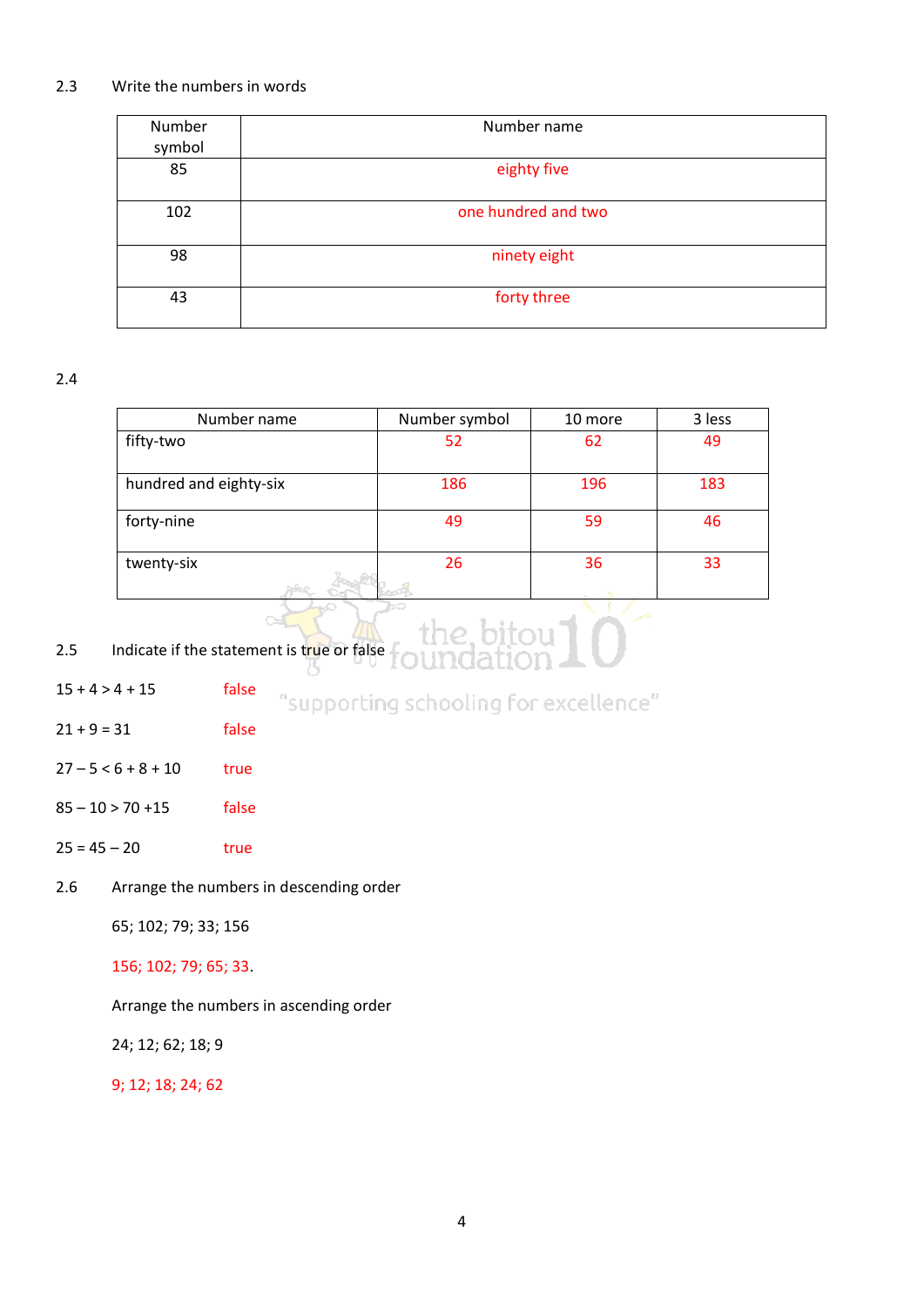# 2.3 Write the numbers in words

| Number<br>symbol | Number name         |
|------------------|---------------------|
| 85               | eighty five         |
| 102              | one hundred and two |
| 98               | ninety eight        |
| 43               | forty three         |

2.4

| Number symbol | 10 more | 3 less |
|---------------|---------|--------|
| 52            | 62      | 49     |
| 186           | 196     | 183    |
| 49            | 59      | 46     |
| 26            | 36      | 33     |
|               |         |        |

e bitou<br>Idation

# 2.5 Indicate if the statement is true or false

 $\sim$ 

| $15 + 4 > 4 + 15$ | false |  | "supporting schooling for excellence" |  |
|-------------------|-------|--|---------------------------------------|--|
|                   |       |  |                                       |  |

- $21 + 9 = 31$  false
- $27 5 < 6 + 8 + 10$  true
- 85 10 > 70 +15 false
- $25 = 45 20$  true
- 2.6 Arrange the numbers in descending order

65; 102; 79; 33; 156

156; 102; 79; 65; 33.

Arrange the numbers in ascending order

24; 12; 62; 18; 9

9; 12; 18; 24; 62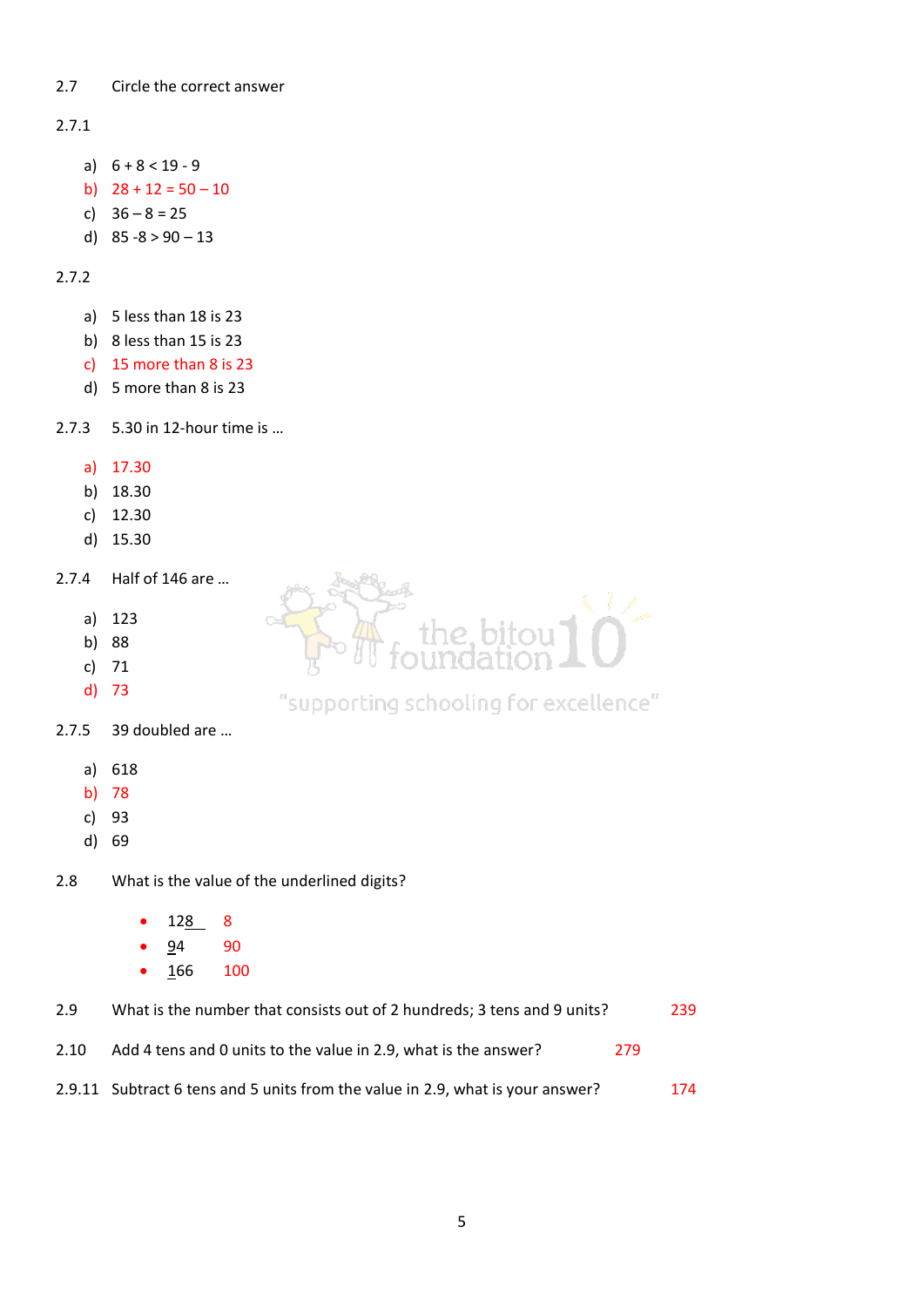# 2.7 Circle the correct answer

# 2.7.1

- a)  $6 + 8 < 19 9$
- b)  $28 + 12 = 50 10$
- c) 36 8 = 25
- d)  $85 8 > 90 13$

# 2.7.2

- a) 5 less than 18 is 23
- b) 8 less than 15 is 23
- c) 15 more than 8 is 23
- d) 5 more than 8 is 23
- 2.7.3 5.30 in 12-hour time is …
	- a) 17.30
	- b) 18.30
	- c) 12.30
	- d) 15.30
- 2.7.4 Half of 146 are …
	- a) 123
	- b) 88
	- c) 71
	- d) 73



# "supporting schooling for excellence"

- 2.7.5 39 doubled are …
	- a) 618
	- b) 78
	- c) 93
	- d) 69

2.8 What is the value of the underlined digits?

- $128$  8
- 94 90
- $166$  100

| 2.9  | What is the number that consists out of 2 hundreds; 3 tens and 9 units?        |     | 239 |
|------|--------------------------------------------------------------------------------|-----|-----|
| 2.10 | Add 4 tens and 0 units to the value in 2.9, what is the answer?                | 279 |     |
|      | 2.9.11 Subtract 6 tens and 5 units from the value in 2.9, what is your answer? |     | 174 |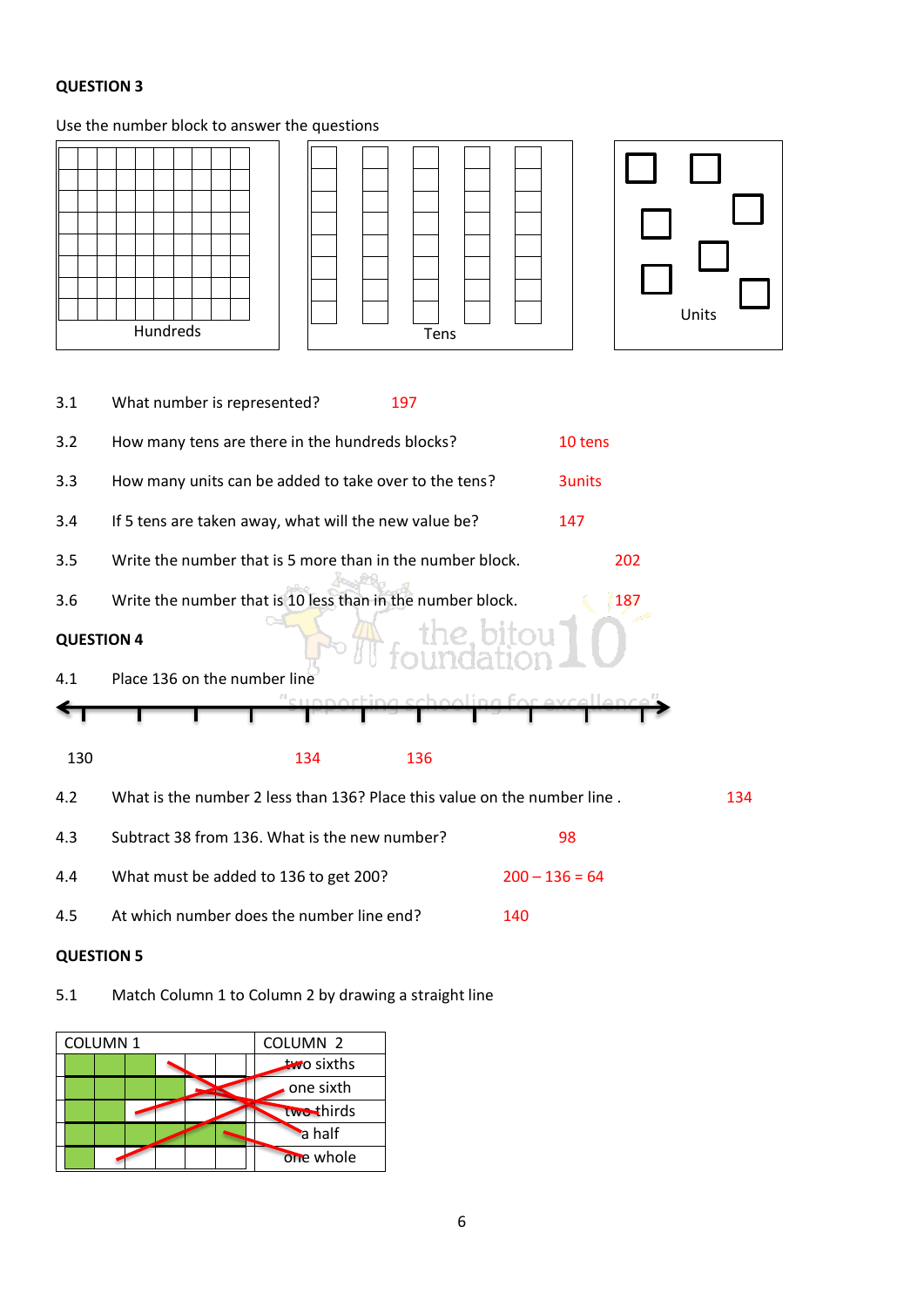# **QUESTION 3**

# Use the number block to answer the questions



4.5 At which number does the number line end? 140

# **QUESTION 5**

# 5.1 Match Column 1 to Column 2 by drawing a straight line

| <b>COLUMN1</b> |  |  | COLUMN <sub>2</sub> |
|----------------|--|--|---------------------|
|                |  |  | two sixths          |
|                |  |  | one sixth           |
|                |  |  | two-thirds          |
|                |  |  | a half              |
|                |  |  | one whole           |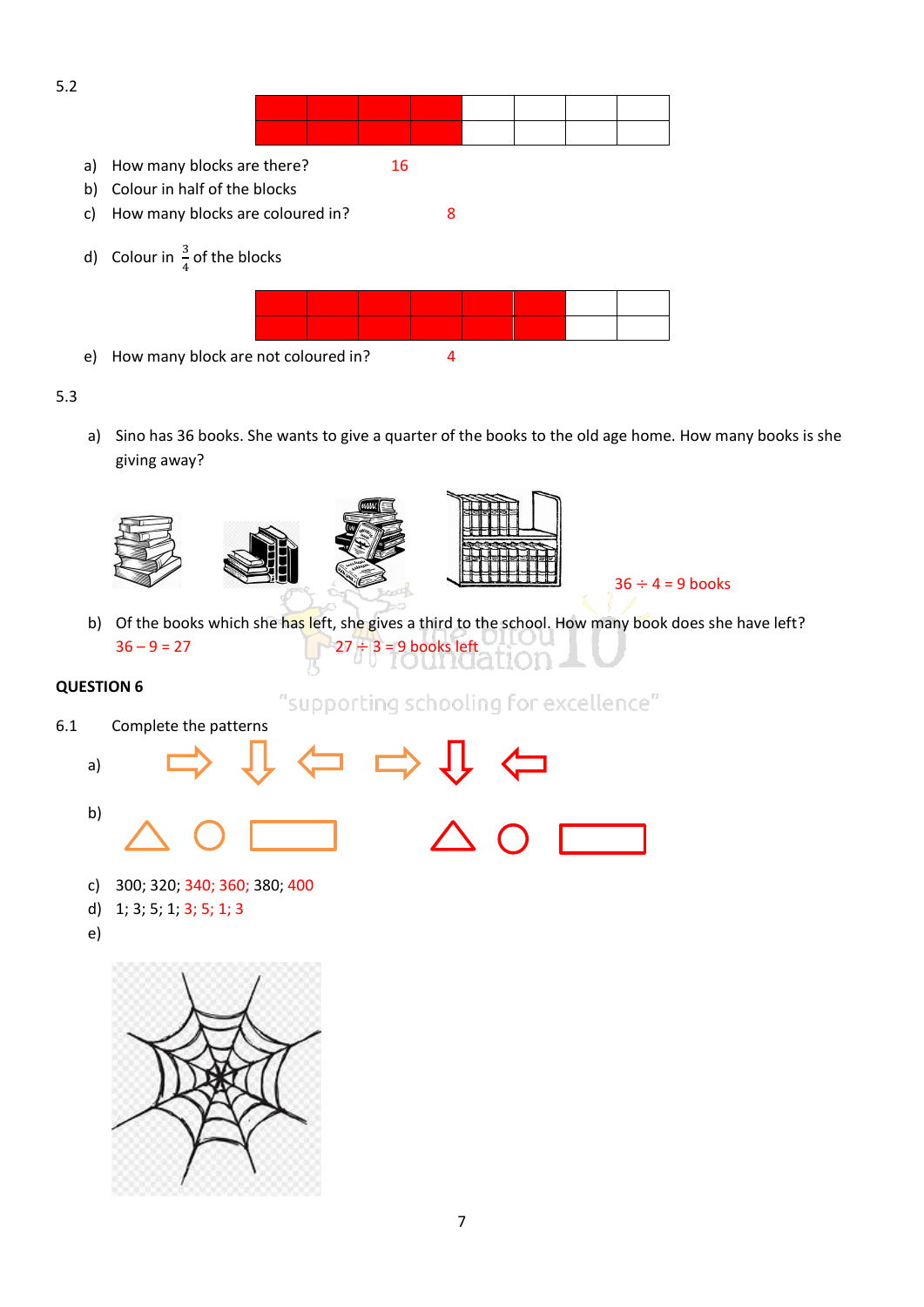

# 5.3

a) Sino has 36 books. She wants to give a quarter of the books to the old age home. How many books is she giving away?







- $36 \div 4 = 9$  books
- b) Of the books which she has left, she gives a third to the school. How many book does she have left?  $36 - 9 = 27$  27  $\div 3 = 9$  books left

# **QUESTION 6**

"supporting schooling for excellence"

- 6.1 Complete the patterns
	- a) b)
		- c) 300; 320; 340; 360; 380; 400
		- d) 1; 3; 5; 1; 3; 5; 1; 3
	- e)

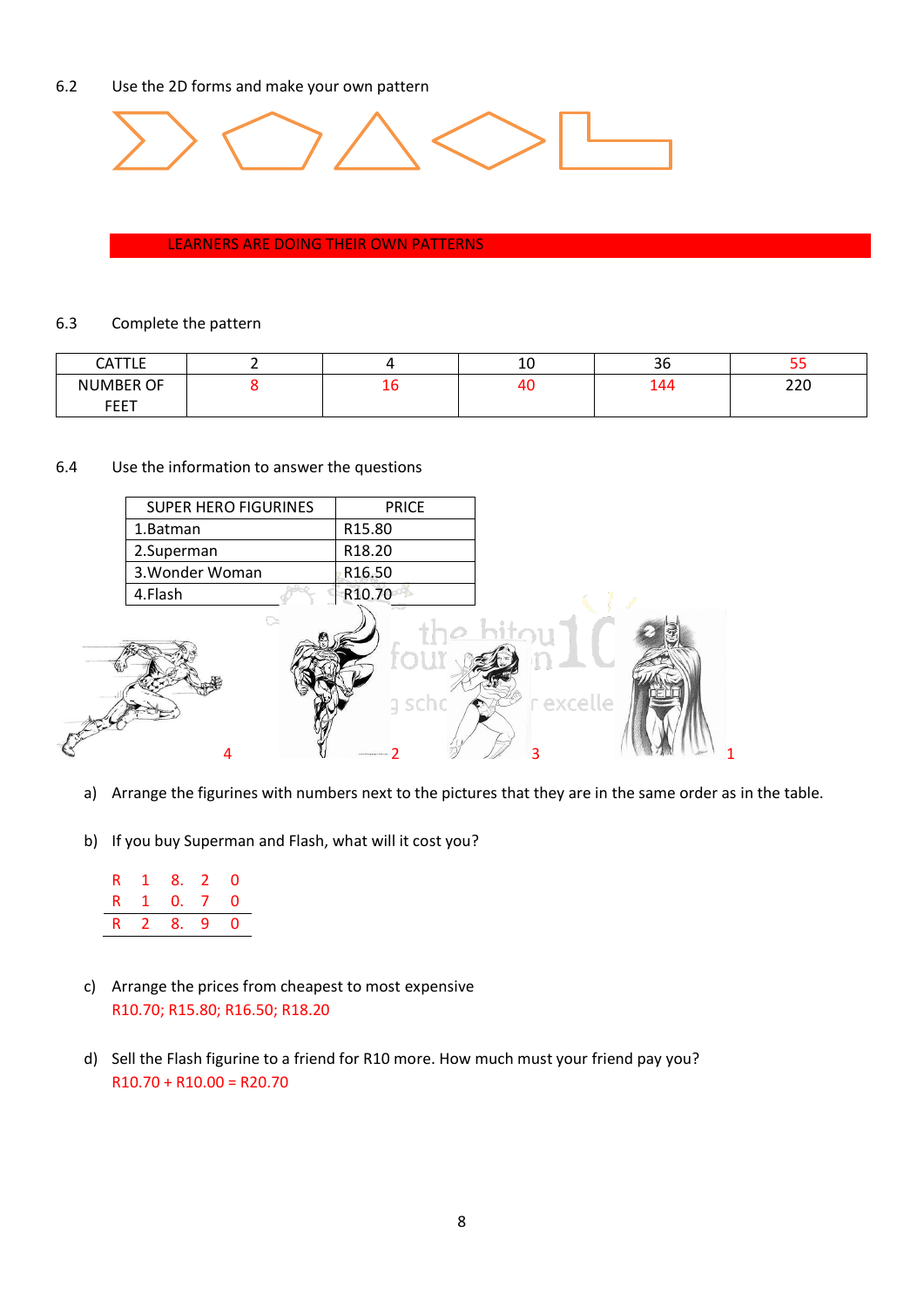# 6.2 Use the 2D forms and make your own pattern



#### LEARNERS ARE DOING THEIR OWN PATTERNS

## 6.3 Complete the pattern

| <b>CATTLE</b><br>. |    | 10 | $\sim$<br>36 | --         |
|--------------------|----|----|--------------|------------|
| <b>NUMBER OF</b>   | ∸∼ | 40 | 144<br>- -   | חרר<br>ZZU |
| <b>FEET</b>        |    |    |              |            |

## 6.4 Use the information to answer the questions

| <b>SUPER HERO FIGURINES</b> | <b>PRICE</b>        |
|-----------------------------|---------------------|
| 1.Batman                    | R <sub>15.80</sub>  |
| 2.Superman                  | R <sub>18.20</sub>  |
| 3. Wonder Woman             | R <sub>16</sub> .50 |
| 4.Flash                     | R <sub>10</sub> 70  |
|                             |                     |



- a) Arrange the figurines with numbers next to the pictures that they are in the same order as in the table.
- b) If you buy Superman and Flash, what will it cost you?

| R |          | 0                       |
|---|----------|-------------------------|
|   |          | 0                       |
|   | $\sim$ 1 | 8. 2<br>0. Z<br>R 2 8.9 |

- c) Arrange the prices from cheapest to most expensive R10.70; R15.80; R16.50; R18.20
- d) Sell the Flash figurine to a friend for R10 more. How much must your friend pay you?  $R10.70 + R10.00 = R20.70$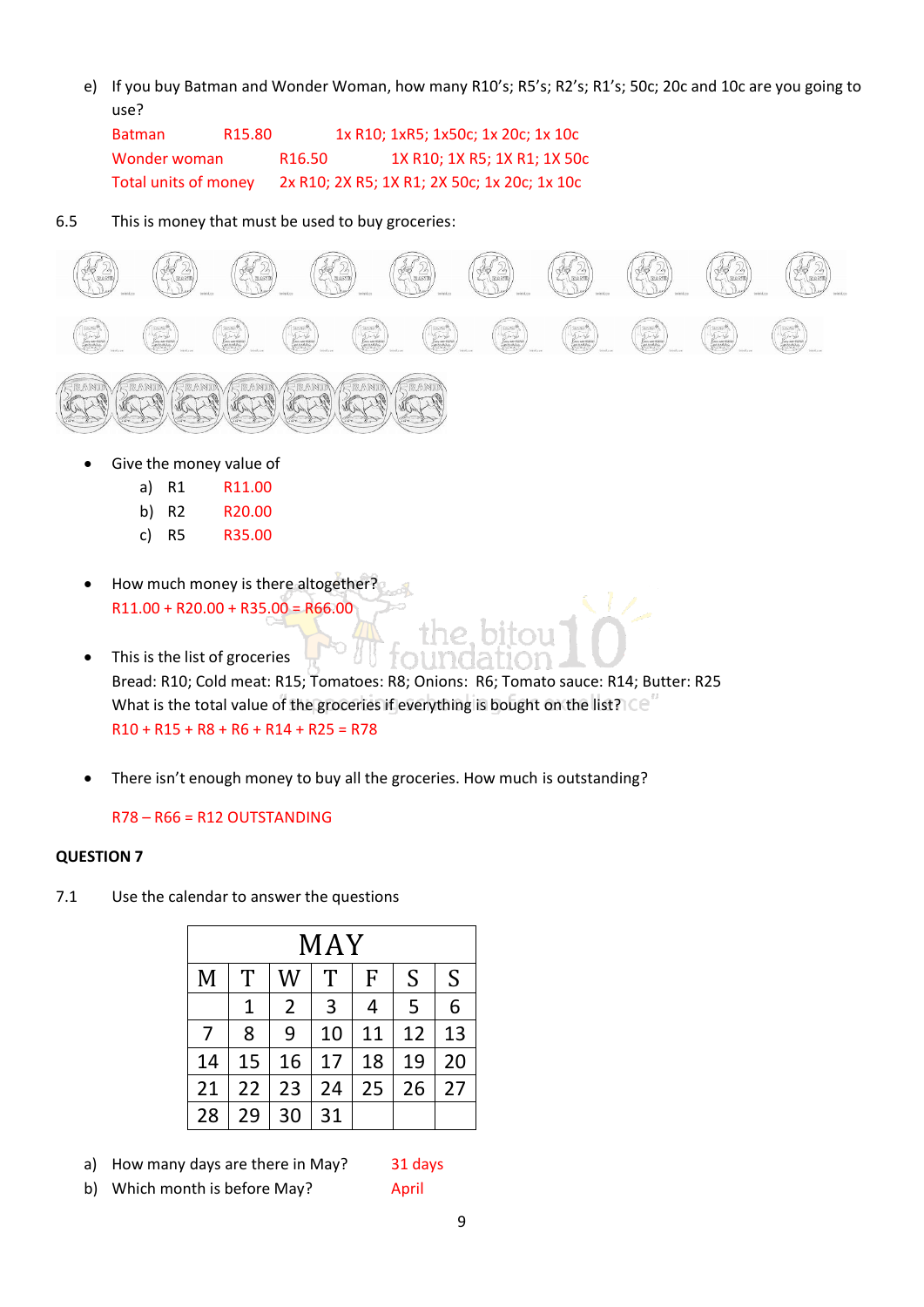e) If you buy Batman and Wonder Woman, how many R10's; R5's; R2's; R1's; 50c; 20c and 10c are you going to use?

Batman R15.80 1x R10; 1xR5; 1x50c; 1x 20c; 1x 10c Wonder woman R16.50 1X R10; 1X R5; 1X R1; 1X 50c Total units of money 2x R10; 2X R5; 1X R1; 2X 50c; 1x 20c; 1x 10c

6.5 This is money that must be used to buy groceries:



Give the money value of

| a) R1 | R <sub>11.00</sub> |
|-------|--------------------|
| b) R2 | R <sub>20.00</sub> |

- c) R5 R35.00
- How much money is there altogether?  $\mathbb{R}^d$  $R11.00 + R20.00 + R35.00 = R66.00$
- This is the list of groceries Bread: R10; Cold meat: R15; Tomatoes: R8; Onions: R6; Tomato sauce: R14; Butter: R25 What is the total value of the groceries if everything is bought on the list? $\text{CC}^{\prime}$  $R10 + R15 + R8 + R6 + R14 + R25 = R78$
- There isn't enough money to buy all the groceries. How much is outstanding?

# R78 – R66 = R12 OUTSTANDING

# **QUESTION 7**

7.1 Use the calendar to answer the questions

| MAY |    |                |    |    |    |    |  |
|-----|----|----------------|----|----|----|----|--|
| M   | T  | W              | T  | F  | S  | S  |  |
|     | 1  | $\overline{2}$ | 3  | 4  | 5  | 6  |  |
| 7   | 8  | 9              | 10 | 11 | 12 | 13 |  |
| 14  | 15 | 16             | 17 | 18 | 19 | 20 |  |
| 21  | 22 | 23             | 24 | 25 | 26 | 27 |  |
| 28  | 29 | 30             | 31 |    |    |    |  |

a) How many days are there in May? 31 days

b) Which month is before May? April

9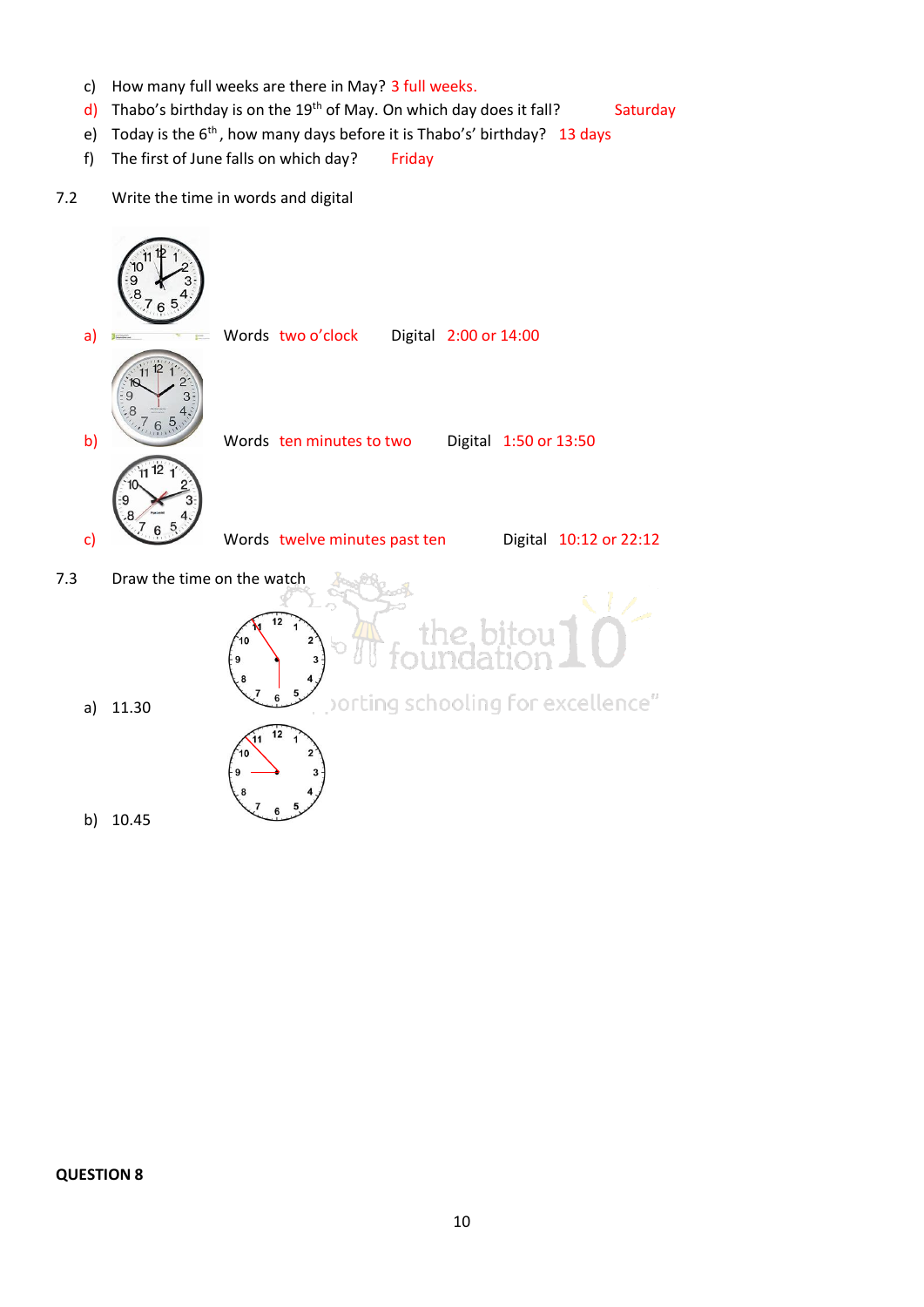- c) How many full weeks are there in May? 3 full weeks.
- d) Thabo's birthday is on the 19<sup>th</sup> of May. On which day does it fall? Saturday
- e) Today is the 6<sup>th</sup>, how many days before it is Thabo's' birthday? 13 days
- f) The first of June falls on which day? Friday
- 7.2 Write the time in words and digital